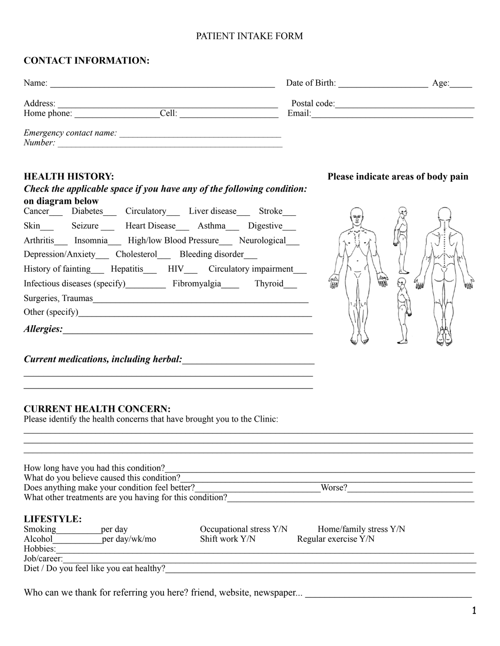### PATIENT INTAKE FORM

# **CONTACT INFORMATION:**

| Name:                              |       | Date of Birth:         | Age: |
|------------------------------------|-------|------------------------|------|
| Address:<br>Home phone:            | Cell: | Postal code:<br>Email: |      |
| Emergency contact name:<br>Number: |       |                        |      |

# **HEALTH HISTORY: Please indicate areas of body pain**

# **on diagram below** Cancer Diabetes Circulatory Liver disease Stroke Skin Seizure Heart Disease Asthma Digestive Arthritis Insomnia High/low Blood Pressure Neurological Depression/Anxiety\_\_\_ Cholesterol\_\_\_ Bleeding disorder\_\_\_ History of fainting\_\_\_ Hepatitis\_\_\_ HIV\_\_\_ Circulatory impairment\_\_\_ б<br>Ш Infectious diseases (specify) Fibromyalgia Thyroid Surgeries, Traumas Other (specify)\_\_\_\_\_\_\_\_\_\_\_\_\_\_\_\_\_\_\_\_\_\_\_\_\_\_\_\_\_\_\_\_\_\_\_\_\_\_\_\_\_\_\_\_\_\_\_\_\_\_\_\_ *Allergies:*\_\_\_\_\_\_\_\_\_\_\_\_\_\_\_\_\_\_\_\_\_\_\_\_\_\_\_\_\_\_\_\_\_\_\_\_\_\_\_\_\_\_\_\_\_\_\_\_\_\_\_

\_\_\_\_\_\_\_\_\_\_\_\_\_\_\_\_\_\_\_\_\_\_\_\_\_\_\_\_\_\_\_\_\_\_\_\_\_\_\_\_\_\_\_\_\_\_\_\_\_\_\_\_\_\_\_\_\_\_\_

 $Current\,mediations, including\, herbal:$ 

#### **CURRENT HEALTH CONCERN:**

Please identify the health concerns that have brought you to the Clinic:

 $\mathcal{L}_\text{max}$  , and the contract of the contract of the contract of the contract of the contract of the contract of

*Check the applicable space if you have any of the following condition:* 

|                                                | How long have you had this condition?                    |                         |                        |
|------------------------------------------------|----------------------------------------------------------|-------------------------|------------------------|
|                                                | What do you believe caused this condition?               |                         |                        |
| Does anything make your condition feel better? |                                                          |                         | Worse?                 |
|                                                | What other treatments are you having for this condition? |                         |                        |
|                                                |                                                          |                         |                        |
| <b>LIFESTYLE:</b>                              |                                                          |                         |                        |
| Smoking                                        | per day                                                  | Occupational stress Y/N | Home/family stress Y/N |
| Alcohol                                        | per day/wk/mo                                            | Shift work Y/N          | Regular exercise Y/N   |
| Hobbies:                                       |                                                          |                         |                        |
| Job/career:                                    |                                                          |                         |                        |
|                                                |                                                          |                         |                        |

 $\mathcal{L}_\mathcal{L} = \mathcal{L}_\mathcal{L} = \mathcal{L}_\mathcal{L} = \mathcal{L}_\mathcal{L} = \mathcal{L}_\mathcal{L} = \mathcal{L}_\mathcal{L} = \mathcal{L}_\mathcal{L} = \mathcal{L}_\mathcal{L} = \mathcal{L}_\mathcal{L} = \mathcal{L}_\mathcal{L} = \mathcal{L}_\mathcal{L} = \mathcal{L}_\mathcal{L} = \mathcal{L}_\mathcal{L} = \mathcal{L}_\mathcal{L} = \mathcal{L}_\mathcal{L} = \mathcal{L}_\mathcal{L} = \mathcal{L}_\mathcal{L}$  $\mathcal{L}_\mathcal{L} = \mathcal{L}_\mathcal{L} = \mathcal{L}_\mathcal{L} = \mathcal{L}_\mathcal{L} = \mathcal{L}_\mathcal{L} = \mathcal{L}_\mathcal{L} = \mathcal{L}_\mathcal{L} = \mathcal{L}_\mathcal{L} = \mathcal{L}_\mathcal{L} = \mathcal{L}_\mathcal{L} = \mathcal{L}_\mathcal{L} = \mathcal{L}_\mathcal{L} = \mathcal{L}_\mathcal{L} = \mathcal{L}_\mathcal{L} = \mathcal{L}_\mathcal{L} = \mathcal{L}_\mathcal{L} = \mathcal{L}_\mathcal{L}$ 

Who can we thank for referring you here? friend, website, newspaper...